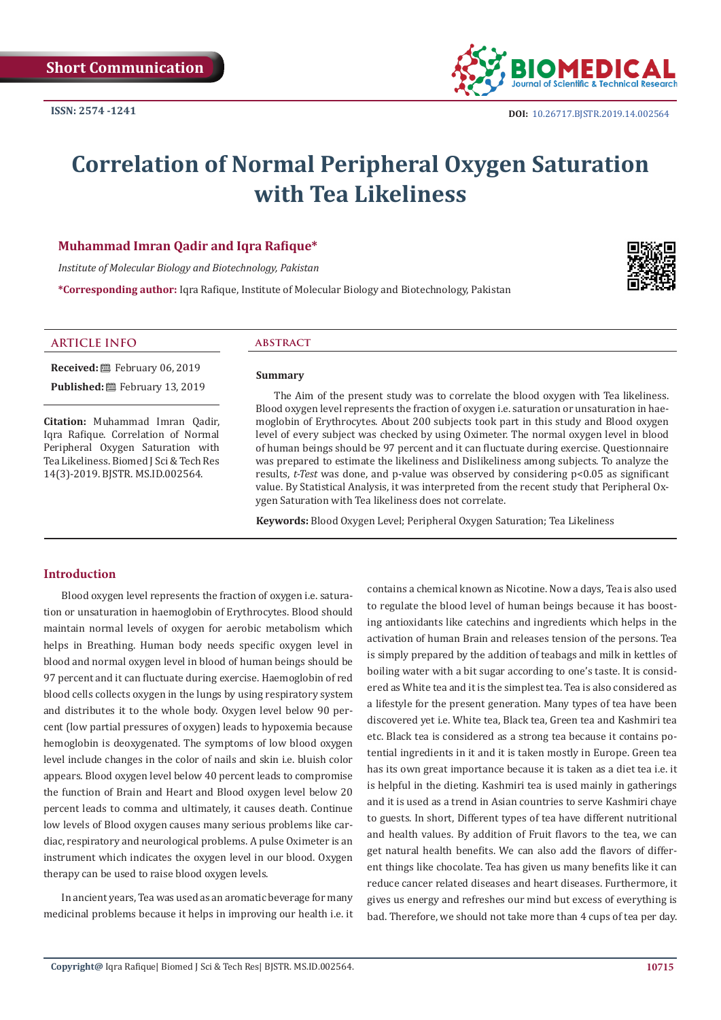

# **Correlation of Normal Peripheral Oxygen Saturation with Tea Likeliness**

# **Muhammad Imran Qadir and Iqra Rafique\***

*Institute of Molecular Biology and Biotechnology, Pakistan*

**\*Corresponding author:** Iqra Rafique, Institute of Molecular Biology and Biotechnology, Pakistan



#### **ARTICLE INFO abstract**

**Received:** February 06, 2019 Published: **■**February 13, 2019

**Citation:** Muhammad Imran Qadir, Iqra Rafique. Correlation of Normal Peripheral Oxygen Saturation with Tea Likeliness. Biomed J Sci & Tech Res 14(3)-2019. BJSTR. MS.ID.002564.

#### **Summary**

The Aim of the present study was to correlate the blood oxygen with Tea likeliness. Blood oxygen level represents the fraction of oxygen i.e. saturation or unsaturation in haemoglobin of Erythrocytes. About 200 subjects took part in this study and Blood oxygen level of every subject was checked by using Oximeter. The normal oxygen level in blood of human beings should be 97 percent and it can fluctuate during exercise. Questionnaire was prepared to estimate the likeliness and Dislikeliness among subjects. To analyze the results, *t-Test* was done, and p-value was observed by considering p<0.05 as significant value. By Statistical Analysis, it was interpreted from the recent study that Peripheral Oxygen Saturation with Tea likeliness does not correlate.

**Keywords:** Blood Oxygen Level; Peripheral Oxygen Saturation; Tea Likeliness

#### **Introduction**

Blood oxygen level represents the fraction of oxygen i.e. saturation or unsaturation in haemoglobin of Erythrocytes. Blood should maintain normal levels of oxygen for aerobic metabolism which helps in Breathing. Human body needs specific oxygen level in blood and normal oxygen level in blood of human beings should be 97 percent and it can fluctuate during exercise. Haemoglobin of red blood cells collects oxygen in the lungs by using respiratory system and distributes it to the whole body. Oxygen level below 90 percent (low partial pressures of oxygen) leads to hypoxemia because hemoglobin is deoxygenated. The symptoms of low blood oxygen level include changes in the color of nails and skin i.e. bluish color appears. Blood oxygen level below 40 percent leads to compromise the function of Brain and Heart and Blood oxygen level below 20 percent leads to comma and ultimately, it causes death. Continue low levels of Blood oxygen causes many serious problems like cardiac, respiratory and neurological problems. A pulse Oximeter is an instrument which indicates the oxygen level in our blood. Oxygen therapy can be used to raise blood oxygen levels.

In ancient years, Tea was used as an aromatic beverage for many medicinal problems because it helps in improving our health i.e. it contains a chemical known as Nicotine. Now a days, Tea is also used to regulate the blood level of human beings because it has boosting antioxidants like catechins and ingredients which helps in the activation of human Brain and releases tension of the persons. Tea is simply prepared by the addition of teabags and milk in kettles of boiling water with a bit sugar according to one's taste. It is considered as White tea and it is the simplest tea. Tea is also considered as a lifestyle for the present generation. Many types of tea have been discovered yet i.e. White tea, Black tea, Green tea and Kashmiri tea etc. Black tea is considered as a strong tea because it contains potential ingredients in it and it is taken mostly in Europe. Green tea has its own great importance because it is taken as a diet tea i.e. it is helpful in the dieting. Kashmiri tea is used mainly in gatherings and it is used as a trend in Asian countries to serve Kashmiri chaye to guests. In short, Different types of tea have different nutritional and health values. By addition of Fruit flavors to the tea, we can get natural health benefits. We can also add the flavors of different things like chocolate. Tea has given us many benefits like it can reduce cancer related diseases and heart diseases. Furthermore, it gives us energy and refreshes our mind but excess of everything is bad. Therefore, we should not take more than 4 cups of tea per day.